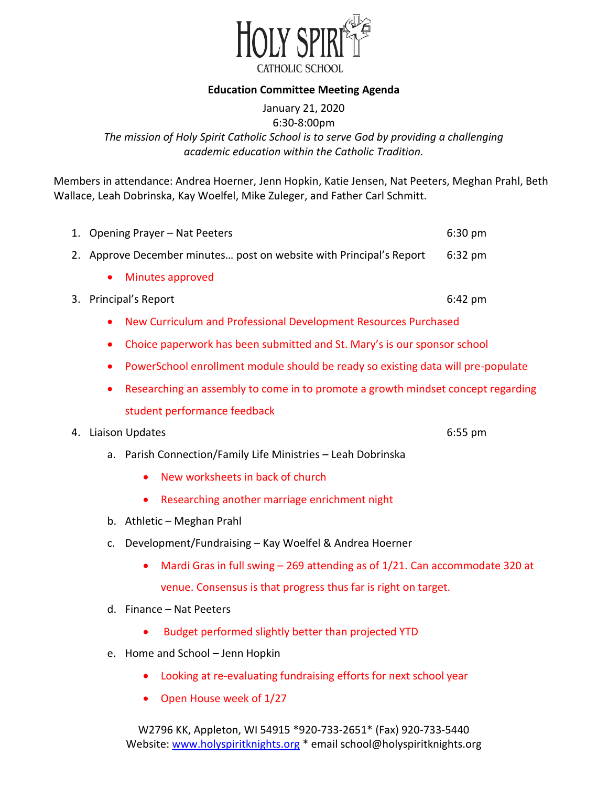

## **Education Committee Meeting Agenda**

January 21, 2020 6:30-8:00pm *The mission of Holy Spirit Catholic School is to serve God by providing a challenging academic education within the Catholic Tradition.* 

Members in attendance: Andrea Hoerner, Jenn Hopkin, Katie Jensen, Nat Peeters, Meghan Prahl, Beth Wallace, Leah Dobrinska, Kay Woelfel, Mike Zuleger, and Father Carl Schmitt.

|    |                                                                                               | 1. Opening Prayer - Nat Peeters                                                            | 6:30 pm   |  |  |  |  |
|----|-----------------------------------------------------------------------------------------------|--------------------------------------------------------------------------------------------|-----------|--|--|--|--|
|    |                                                                                               | 2. Approve December minutes post on website with Principal's Report<br>$6:32$ pm           |           |  |  |  |  |
|    |                                                                                               | Minutes approved                                                                           |           |  |  |  |  |
|    |                                                                                               | 3. Principal's Report                                                                      | $6:42$ pm |  |  |  |  |
|    | $\bullet$                                                                                     | New Curriculum and Professional Development Resources Purchased                            |           |  |  |  |  |
|    | $\bullet$                                                                                     | Choice paperwork has been submitted and St. Mary's is our sponsor school                   |           |  |  |  |  |
|    | $\bullet$                                                                                     | PowerSchool enrollment module should be ready so existing data will pre-populate           |           |  |  |  |  |
|    | Researching an assembly to come in to promote a growth mindset concept regarding<br>$\bullet$ |                                                                                            |           |  |  |  |  |
|    |                                                                                               | student performance feedback                                                               |           |  |  |  |  |
| 4. |                                                                                               | Liaison Updates                                                                            | $6:55$ pm |  |  |  |  |
|    | a.                                                                                            | Parish Connection/Family Life Ministries - Leah Dobrinska                                  |           |  |  |  |  |
|    |                                                                                               | New worksheets in back of church<br>$\bullet$                                              |           |  |  |  |  |
|    |                                                                                               | Researching another marriage enrichment night                                              |           |  |  |  |  |
|    | b.                                                                                            | Athletic - Meghan Prahl                                                                    |           |  |  |  |  |
|    | c.                                                                                            | Development/Fundraising - Kay Woelfel & Andrea Hoerner                                     |           |  |  |  |  |
|    |                                                                                               | Mardi Gras in full swing $-$ 269 attending as of 1/21. Can accommodate 320 at<br>$\bullet$ |           |  |  |  |  |
|    |                                                                                               | venue. Consensus is that progress thus far is right on target.                             |           |  |  |  |  |
|    |                                                                                               | d. Finance - Nat Peeters                                                                   |           |  |  |  |  |
|    |                                                                                               | Budget performed slightly better than projected YTD                                        |           |  |  |  |  |
|    | е.                                                                                            | Home and School - Jenn Hopkin                                                              |           |  |  |  |  |

- Looking at re-evaluating fundraising efforts for next school year
- Open House week of 1/27

W2796 KK, Appleton, WI 54915 \*920-733-2651\* (Fax) 920-733-5440 Website: [www.holyspiritknights.org](http://www.holyspiritknights.org/) \* email school@holyspiritknights.org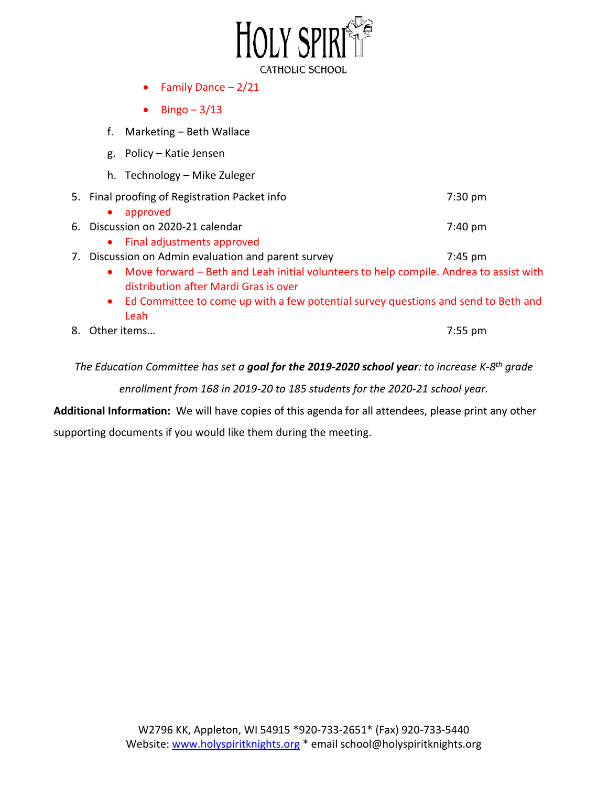

- Family Dance  $-2/21$
- $\bullet$  Bingo 3/13
- f. Marketing Beth Wallace
- g. Policy Katie Jensen
- h. Technology Mike Zuleger
- 5. Final proofing of Registration Packet info 7:30 pm

|  | • approved |  |  |  |  |
|--|------------|--|--|--|--|
|--|------------|--|--|--|--|

- 6. Discussion on 2020-21 calendar 6. Discussion on 2020-21 calendar 6. The mass of  $7:40 \text{ pm}$ 
	- Final adjustments approved

7. Discussion on Admin evaluation and parent survey The Transmussion on Admin evaluation and parent survey

- Move forward Beth and Leah initial volunteers to help compile. Andrea to assist with distribution after Mardi Gras is over
- Ed Committee to come up with a few potential survey questions and send to Beth and Leah
- 8. Other items… 7:55 pm

*The Education Committee has set a goal for the 2019-2020 school year: to increase K-8th grade* 

*enrollment from 168 in 2019-20 to 185 students for the 2020-21 school year.* 

**Additional Information:** We will have copies of this agenda for all attendees, please print any other

supporting documents if you would like them during the meeting.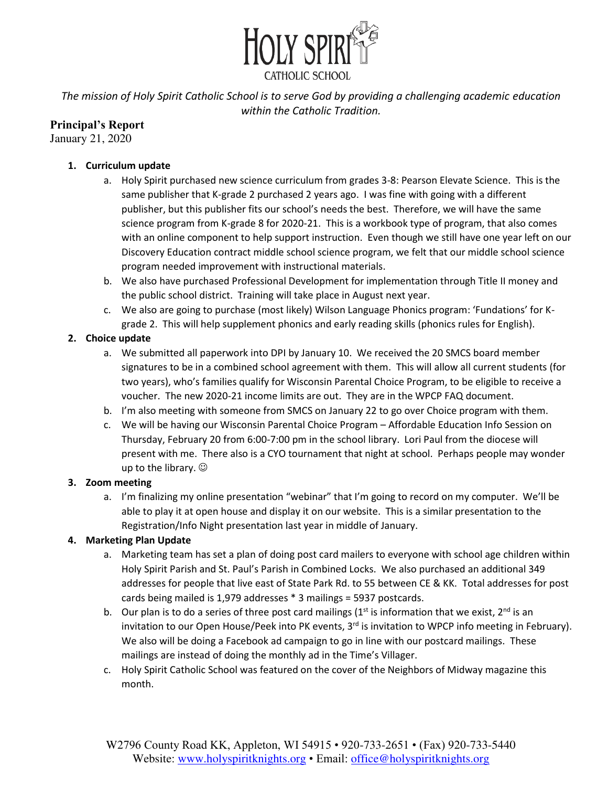

*The mission of Holy Spirit Catholic School is to serve God by providing a challenging academic education within the Catholic Tradition.* 

# **Principal's Report**

January 21, 2020

## **1. Curriculum update**

- a. Holy Spirit purchased new science curriculum from grades 3-8: Pearson Elevate Science. This is the same publisher that K-grade 2 purchased 2 years ago. I was fine with going with a different publisher, but this publisher fits our school's needs the best. Therefore, we will have the same science program from K-grade 8 for 2020-21. This is a workbook type of program, that also comes with an online component to help support instruction. Even though we still have one year left on our Discovery Education contract middle school science program, we felt that our middle school science program needed improvement with instructional materials.
- b. We also have purchased Professional Development for implementation through Title II money and the public school district. Training will take place in August next year.
- c. We also are going to purchase (most likely) Wilson Language Phonics program: 'Fundations' for Kgrade 2. This will help supplement phonics and early reading skills (phonics rules for English).

## **2. Choice update**

- a. We submitted all paperwork into DPI by January 10. We received the 20 SMCS board member signatures to be in a combined school agreement with them. This will allow all current students (for two years), who's families qualify for Wisconsin Parental Choice Program, to be eligible to receive a voucher. The new 2020-21 income limits are out. They are in the WPCP FAQ document.
- b. I'm also meeting with someone from SMCS on January 22 to go over Choice program with them.
- c. We will be having our Wisconsin Parental Choice Program Affordable Education Info Session on Thursday, February 20 from 6:00-7:00 pm in the school library. Lori Paul from the diocese will present with me. There also is a CYO tournament that night at school. Perhaps people may wonder up to the library.  $\odot$

#### **3. Zoom meeting**

a. I'm finalizing my online presentation "webinar" that I'm going to record on my computer. We'll be able to play it at open house and display it on our website. This is a similar presentation to the Registration/Info Night presentation last year in middle of January.

## **4. Marketing Plan Update**

- a. Marketing team has set a plan of doing post card mailers to everyone with school age children within Holy Spirit Parish and St. Paul's Parish in Combined Locks. We also purchased an additional 349 addresses for people that live east of State Park Rd. to 55 between CE & KK. Total addresses for post cards being mailed is 1,979 addresses \* 3 mailings = 5937 postcards.
- b. Our plan is to do a series of three post card mailings ( $1<sup>st</sup>$  is information that we exist,  $2<sup>nd</sup>$  is an invitation to our Open House/Peek into PK events,  $3<sup>rd</sup>$  is invitation to WPCP info meeting in February). We also will be doing a Facebook ad campaign to go in line with our postcard mailings. These mailings are instead of doing the monthly ad in the Time's Villager.
- c. Holy Spirit Catholic School was featured on the cover of the Neighbors of Midway magazine this month.